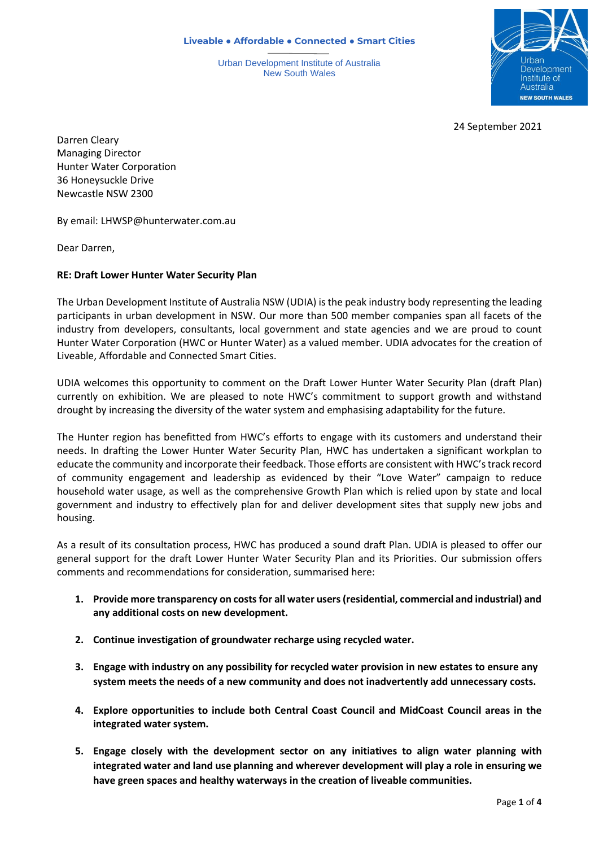**Liveable ● Affordable ● Connected ● Smart Cities**

Urban Development Institute of Australia New South Wales



24 September 2021

Darren Cleary Managing Director Hunter Water Corporation 36 Honeysuckle Drive Newcastle NSW 2300

By email: LHWSP@hunterwater.com.au

Dear Darren,

## **RE: Draft Lower Hunter Water Security Plan**

The Urban Development Institute of Australia NSW (UDIA) is the peak industry body representing the leading participants in urban development in NSW. Our more than 500 member companies span all facets of the industry from developers, consultants, local government and state agencies and we are proud to count Hunter Water Corporation (HWC or Hunter Water) as a valued member. UDIA advocates for the creation of Liveable, Affordable and Connected Smart Cities.

UDIA welcomes this opportunity to comment on the Draft Lower Hunter Water Security Plan (draft Plan) currently on exhibition. We are pleased to note HWC's commitment to support growth and withstand drought by increasing the diversity of the water system and emphasising adaptability for the future.

The Hunter region has benefitted from HWC's efforts to engage with its customers and understand their needs. In drafting the Lower Hunter Water Security Plan, HWC has undertaken a significant workplan to educate the community and incorporate their feedback. Those efforts are consistent with HWC's track record of community engagement and leadership as evidenced by their "Love Water" campaign to reduce household water usage, as well as the comprehensive Growth Plan which is relied upon by state and local government and industry to effectively plan for and deliver development sites that supply new jobs and housing.

As a result of its consultation process, HWC has produced a sound draft Plan. UDIA is pleased to offer our general support for the draft Lower Hunter Water Security Plan and its Priorities. Our submission offers comments and recommendations for consideration, summarised here:

- **1. Provide more transparency on costs for all water users (residential, commercial and industrial) and any additional costs on new development.**
- **2. Continue investigation of groundwater recharge using recycled water.**
- **3. Engage with industry on any possibility for recycled water provision in new estates to ensure any system meets the needs of a new community and does not inadvertently add unnecessary costs.**
- **4. Explore opportunities to include both Central Coast Council and MidCoast Council areas in the integrated water system.**
- **5. Engage closely with the development sector on any initiatives to align water planning with integrated water and land use planning and wherever development will play a role in ensuring we have green spaces and healthy waterways in the creation of liveable communities.**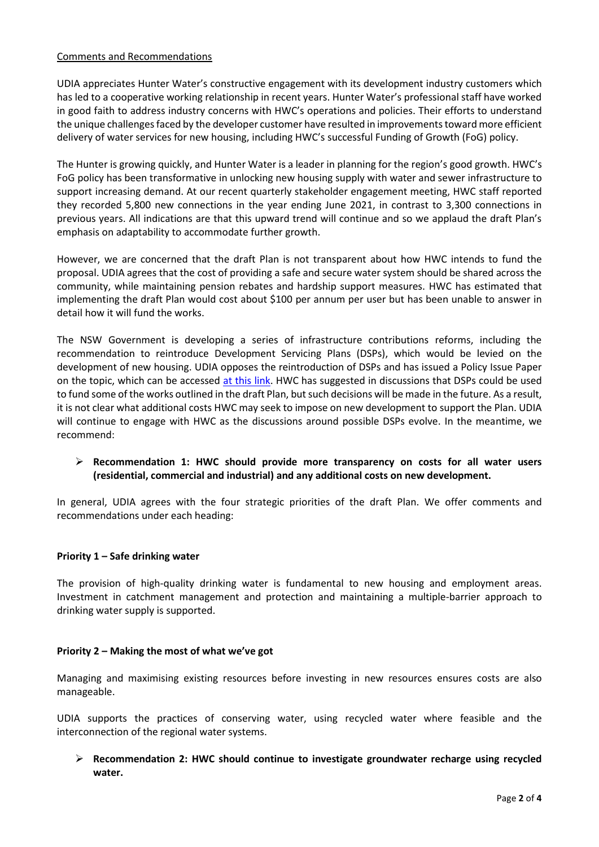#### Comments and Recommendations

UDIA appreciates Hunter Water's constructive engagement with its development industry customers which has led to a cooperative working relationship in recent years. Hunter Water's professional staff have worked in good faith to address industry concerns with HWC's operations and policies. Their efforts to understand the unique challenges faced by the developer customer have resulted in improvements toward more efficient delivery of water services for new housing, including HWC's successful Funding of Growth (FoG) policy.

The Hunter is growing quickly, and Hunter Water is a leader in planning for the region's good growth. HWC's FoG policy has been transformative in unlocking new housing supply with water and sewer infrastructure to support increasing demand. At our recent quarterly stakeholder engagement meeting, HWC staff reported they recorded 5,800 new connections in the year ending June 2021, in contrast to 3,300 connections in previous years. All indications are that this upward trend will continue and so we applaud the draft Plan's emphasis on adaptability to accommodate further growth.

However, we are concerned that the draft Plan is not transparent about how HWC intends to fund the proposal. UDIA agrees that the cost of providing a safe and secure water system should be shared across the community, while maintaining pension rebates and hardship support measures. HWC has estimated that implementing the draft Plan would cost about \$100 per annum per user but has been unable to answer in detail how it will fund the works.

The NSW Government is developing a series of infrastructure contributions reforms, including the recommendation to reintroduce Development Servicing Plans (DSPs), which would be levied on the development of new housing. UDIA opposes the reintroduction of DSPs and has issued a Policy Issue Paper on the topic, which can be accessed [at this link.](https://mcusercontent.com/0d7b93e96aba1aa67d77dc21e/files/b530db62-9eb5-d000-65f0-952da9baa610/Infrastructure_Contributions_DSP_Policy_Paper.pdf) HWC has suggested in discussions that DSPs could be used to fund some of the works outlined in the draft Plan, but such decisions will be made in the future. As a result, it is not clear what additional costs HWC may seek to impose on new development to support the Plan. UDIA will continue to engage with HWC as the discussions around possible DSPs evolve. In the meantime, we recommend:

# ➢ **Recommendation 1: HWC should provide more transparency on costs for all water users (residential, commercial and industrial) and any additional costs on new development.**

In general, UDIA agrees with the four strategic priorities of the draft Plan. We offer comments and recommendations under each heading:

#### **Priority 1 – Safe drinking water**

The provision of high-quality drinking water is fundamental to new housing and employment areas. Investment in catchment management and protection and maintaining a multiple-barrier approach to drinking water supply is supported.

#### **Priority 2 – Making the most of what we've got**

Managing and maximising existing resources before investing in new resources ensures costs are also manageable.

UDIA supports the practices of conserving water, using recycled water where feasible and the interconnection of the regional water systems.

➢ **Recommendation 2: HWC should continue to investigate groundwater recharge using recycled water.**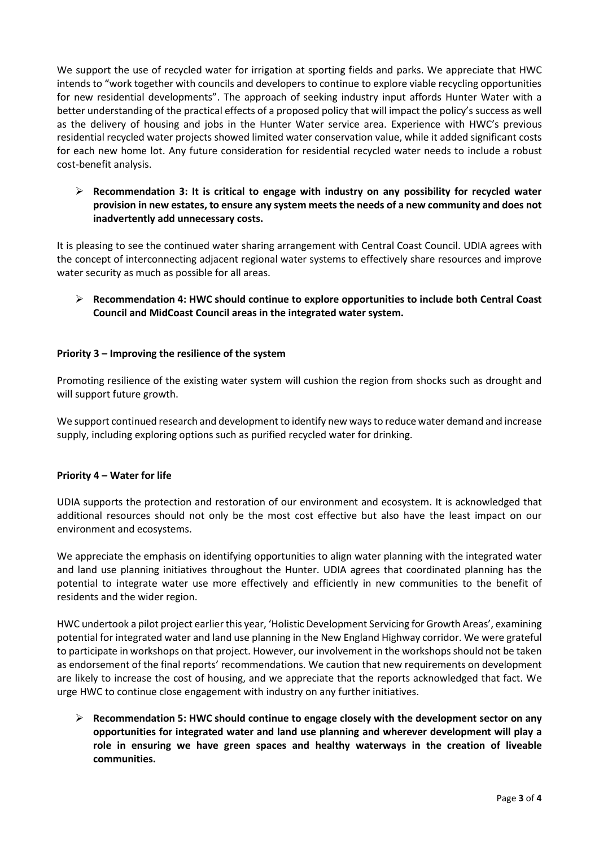We support the use of recycled water for irrigation at sporting fields and parks. We appreciate that HWC intends to "work together with councils and developers to continue to explore viable recycling opportunities for new residential developments". The approach of seeking industry input affords Hunter Water with a better understanding of the practical effects of a proposed policy that will impact the policy's success as well as the delivery of housing and jobs in the Hunter Water service area. Experience with HWC's previous residential recycled water projects showed limited water conservation value, while it added significant costs for each new home lot. Any future consideration for residential recycled water needs to include a robust cost-benefit analysis.

➢ **Recommendation 3: It is critical to engage with industry on any possibility for recycled water provision in new estates, to ensure any system meets the needs of a new community and does not inadvertently add unnecessary costs.**

It is pleasing to see the continued water sharing arrangement with Central Coast Council. UDIA agrees with the concept of interconnecting adjacent regional water systems to effectively share resources and improve water security as much as possible for all areas.

➢ **Recommendation 4: HWC should continue to explore opportunities to include both Central Coast Council and MidCoast Council areas in the integrated water system.**

## **Priority 3 – Improving the resilience of the system**

Promoting resilience of the existing water system will cushion the region from shocks such as drought and will support future growth.

We support continued research and development to identify new ways to reduce water demand and increase supply, including exploring options such as purified recycled water for drinking.

#### **Priority 4 – Water for life**

UDIA supports the protection and restoration of our environment and ecosystem. It is acknowledged that additional resources should not only be the most cost effective but also have the least impact on our environment and ecosystems.

We appreciate the emphasis on identifying opportunities to align water planning with the integrated water and land use planning initiatives throughout the Hunter. UDIA agrees that coordinated planning has the potential to integrate water use more effectively and efficiently in new communities to the benefit of residents and the wider region.

HWC undertook a pilot project earlier this year, 'Holistic Development Servicing for Growth Areas', examining potential for integrated water and land use planning in the New England Highway corridor. We were grateful to participate in workshops on that project. However, our involvement in the workshops should not be taken as endorsement of the final reports' recommendations. We caution that new requirements on development are likely to increase the cost of housing, and we appreciate that the reports acknowledged that fact. We urge HWC to continue close engagement with industry on any further initiatives.

➢ **Recommendation 5: HWC should continue to engage closely with the development sector on any opportunities for integrated water and land use planning and wherever development will play a role in ensuring we have green spaces and healthy waterways in the creation of liveable communities.**